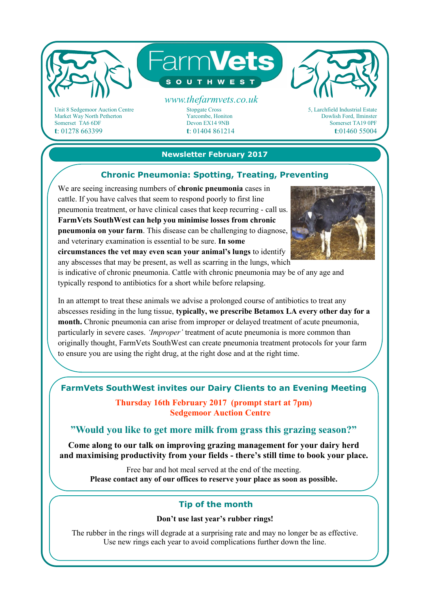

Unit 8 Sedgemoor Auction Centre Market Way North Petherton Somerset TA6 6DF **t**: 01278 663399

Stopgate Cross Yarcombe, Honiton Devon EX14 9NB **t**: 01404 861214 5, Larchfield Industrial Estate Dowlish Ford, Ilminster Somerset TA19 0PF **t**:01460 55004

### **Newsletter February 2017**

## **Chronic Pneumonia: Spotting, Treating, Preventing**

We are seeing increasing numbers of **chronic pneumonia** cases in cattle. If you have calves that seem to respond poorly to first line pneumonia treatment, or have clinical cases that keep recurring - call us. **FarmVets SouthWest can help you minimise losses from chronic pneumonia on your farm**. This disease can be challenging to diagnose, and veterinary examination is essential to be sure. **In some** 

**circumstances the vet may even scan your animal's lungs** to identify any abscesses that may be present, as well as scarring in the lungs, which

is indicative of chronic pneumonia. Cattle with chronic pneumonia may be of any age and typically respond to antibiotics for a short while before relapsing.

In an attempt to treat these animals we advise a prolonged course of antibiotics to treat any abscesses residing in the lung tissue, **typically, we prescribe Betamox LA every other day for a month.** Chronic pneumonia can arise from improper or delayed treatment of acute pneumonia, particularly in severe cases. *'Improper'* treatment of acute pneumonia is more common than originally thought, FarmVets SouthWest can create pneumonia treatment protocols for your farm to ensure you are using the right drug, at the right dose and at the right time.

# **FarmVets SouthWest invites our Dairy Clients to an Evening Meeting**

**Thursday 16th February 2017 (prompt start at 7pm) Sedgemoor Auction Centre**

**"Would you like to get more milk from grass this grazing season?"** 

**Come along to our talk on improving grazing management for your dairy herd and maximising productivity from your fields - there's still time to book your place.** 

Free bar and hot meal served at the end of the meeting. **Please contact any of our offices to reserve your place as soon as possible.**

## **Tip of the month**

#### **Don't use last year's rubber rings!**

The rubber in the rings will degrade at a surprising rate and may no longer be as effective. Use new rings each year to avoid complications further down the line.